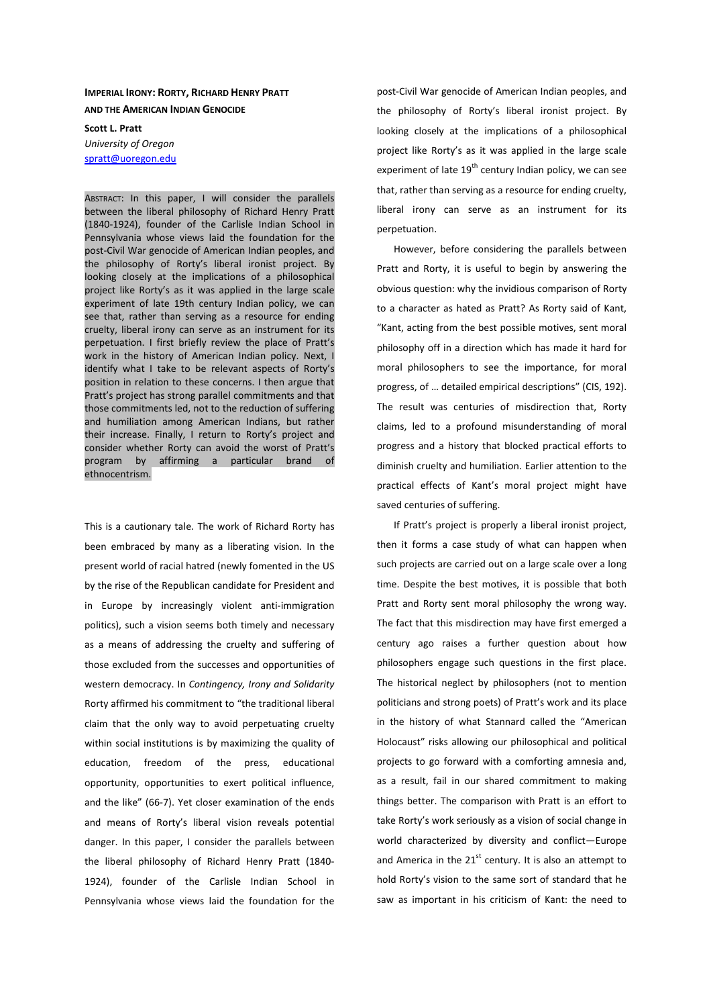## **IMPERIAL IRONY: RORTY, RICHARD HENRY PRATT AND THE AMERICAN INDIAN GENOCIDE**

**Scott L. Pratt**  *University of Oregon*  spratt@uoregon.edu

ABSTRACT: In this paper, I will consider the parallels between the liberal philosophy of Richard Henry Pratt (1840-1924), founder of the Carlisle Indian School in Pennsylvania whose views laid the foundation for the post-Civil War genocide of American Indian peoples, and the philosophy of Rorty's liberal ironist project. By looking closely at the implications of a philosophical project like Rorty's as it was applied in the large scale experiment of late 19th century Indian policy, we can see that, rather than serving as a resource for ending cruelty, liberal irony can serve as an instrument for its perpetuation. I first briefly review the place of Pratt's work in the history of American Indian policy. Next, I identify what I take to be relevant aspects of Rorty's position in relation to these concerns. I then argue that Pratt's project has strong parallel commitments and that those commitments led, not to the reduction of suffering and humiliation among American Indians, but rather their increase. Finally, I return to Rorty's project and consider whether Rorty can avoid the worst of Pratt's program by affirming a particular brand of ethnocentrism.

This is a cautionary tale. The work of Richard Rorty has been embraced by many as a liberating vision. In the present world of racial hatred (newly fomented in the US by the rise of the Republican candidate for President and in Europe by increasingly violent anti-immigration politics), such a vision seems both timely and necessary as a means of addressing the cruelty and suffering of those excluded from the successes and opportunities of western democracy. In *Contingency, Irony and Solidarity* Rorty affirmed his commitment to "the traditional liberal claim that the only way to avoid perpetuating cruelty within social institutions is by maximizing the quality of education, freedom of the press, educational opportunity, opportunities to exert political influence, and the like" (66-7). Yet closer examination of the ends and means of Rorty's liberal vision reveals potential danger. In this paper, I consider the parallels between the liberal philosophy of Richard Henry Pratt (1840- 1924), founder of the Carlisle Indian School in Pennsylvania whose views laid the foundation for the

post-Civil War genocide of American Indian peoples, and the philosophy of Rorty's liberal ironist project. By looking closely at the implications of a philosophical project like Rorty's as it was applied in the large scale experiment of late  $19^{th}$  century Indian policy, we can see that, rather than serving as a resource for ending cruelty, liberal irony can serve as an instrument for its perpetuation.

However, before considering the parallels between Pratt and Rorty, it is useful to begin by answering the obvious question: why the invidious comparison of Rorty to a character as hated as Pratt? As Rorty said of Kant, "Kant, acting from the best possible motives, sent moral philosophy off in a direction which has made it hard for moral philosophers to see the importance, for moral progress, of … detailed empirical descriptions" (CIS, 192). The result was centuries of misdirection that, Rorty claims, led to a profound misunderstanding of moral progress and a history that blocked practical efforts to diminish cruelty and humiliation. Earlier attention to the practical effects of Kant's moral project might have saved centuries of suffering.

If Pratt's project is properly a liberal ironist project, then it forms a case study of what can happen when such projects are carried out on a large scale over a long time. Despite the best motives, it is possible that both Pratt and Rorty sent moral philosophy the wrong way. The fact that this misdirection may have first emerged a century ago raises a further question about how philosophers engage such questions in the first place. The historical neglect by philosophers (not to mention politicians and strong poets) of Pratt's work and its place in the history of what Stannard called the "American Holocaust" risks allowing our philosophical and political projects to go forward with a comforting amnesia and, as a result, fail in our shared commitment to making things better. The comparison with Pratt is an effort to take Rorty's work seriously as a vision of social change in world characterized by diversity and conflict—Europe and America in the  $21^{st}$  century. It is also an attempt to hold Rorty's vision to the same sort of standard that he saw as important in his criticism of Kant: the need to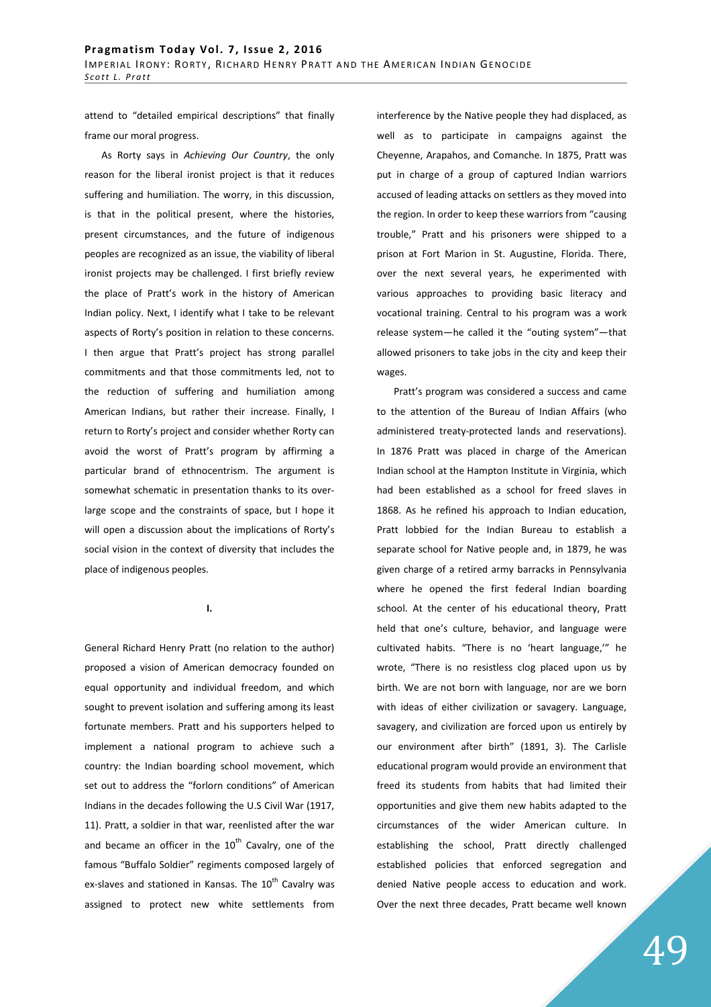attend to "detailed empirical descriptions" that finally frame our moral progress.

As Rorty says in *Achieving Our Country*, the only reason for the liberal ironist project is that it reduces suffering and humiliation. The worry, in this discussion, is that in the political present, where the histories, present circumstances, and the future of indigenous peoples are recognized as an issue, the viability of liberal ironist projects may be challenged. I first briefly review the place of Pratt's work in the history of American Indian policy. Next, I identify what I take to be relevant aspects of Rorty's position in relation to these concerns. I then argue that Pratt's project has strong parallel commitments and that those commitments led, not to the reduction of suffering and humiliation among American Indians, but rather their increase. Finally, I return to Rorty's project and consider whether Rorty can avoid the worst of Pratt's program by affirming a particular brand of ethnocentrism. The argument is somewhat schematic in presentation thanks to its overlarge scope and the constraints of space, but I hope it will open a discussion about the implications of Rorty's social vision in the context of diversity that includes the place of indigenous peoples.

**I.** 

General Richard Henry Pratt (no relation to the author) proposed a vision of American democracy founded on equal opportunity and individual freedom, and which sought to prevent isolation and suffering among its least fortunate members. Pratt and his supporters helped to implement a national program to achieve such a country: the Indian boarding school movement, which set out to address the "forlorn conditions" of American Indians in the decades following the U.S Civil War (1917, 11). Pratt, a soldier in that war, reenlisted after the war and became an officer in the  $10<sup>th</sup>$  Cavalry, one of the famous "Buffalo Soldier" regiments composed largely of ex-slaves and stationed in Kansas. The  $10^{th}$  Cavalry was assigned to protect new white settlements from interference by the Native people they had displaced, as well as to participate in campaigns against the Cheyenne, Arapahos, and Comanche. In 1875, Pratt was put in charge of a group of captured Indian warriors accused of leading attacks on settlers as they moved into the region. In order to keep these warriors from "causing trouble," Pratt and his prisoners were shipped to a prison at Fort Marion in St. Augustine, Florida. There, over the next several years, he experimented with various approaches to providing basic literacy and vocational training. Central to his program was a work release system—he called it the "outing system"—that allowed prisoners to take jobs in the city and keep their wages.

Pratt's program was considered a success and came to the attention of the Bureau of Indian Affairs (who administered treaty-protected lands and reservations). In 1876 Pratt was placed in charge of the American Indian school at the Hampton Institute in Virginia, which had been established as a school for freed slaves in 1868. As he refined his approach to Indian education, Pratt lobbied for the Indian Bureau to establish a separate school for Native people and, in 1879, he was given charge of a retired army barracks in Pennsylvania where he opened the first federal Indian boarding school. At the center of his educational theory, Pratt held that one's culture, behavior, and language were cultivated habits. "There is no 'heart language,'" he wrote, "There is no resistless clog placed upon us by birth. We are not born with language, nor are we born with ideas of either civilization or savagery. Language, savagery, and civilization are forced upon us entirely by our environment after birth" (1891, 3). The Carlisle educational program would provide an environment that freed its students from habits that had limited their opportunities and give them new habits adapted to the circumstances of the wider American culture. In establishing the school, Pratt directly challenged established policies that enforced segregation and denied Native people access to education and work. Over the next three decades, Pratt became well known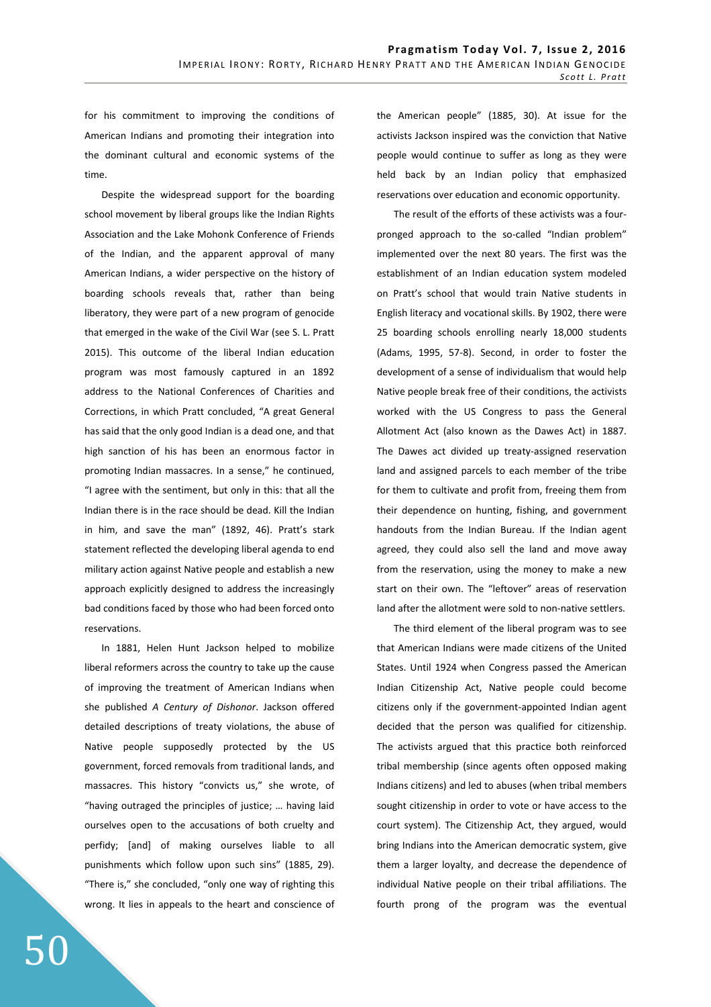for his commitment to improving the conditions of American Indians and promoting their integration into the dominant cultural and economic systems of the time.

Despite the widespread support for the boarding school movement by liberal groups like the Indian Rights Association and the Lake Mohonk Conference of Friends of the Indian, and the apparent approval of many American Indians, a wider perspective on the history of boarding schools reveals that, rather than being liberatory, they were part of a new program of genocide that emerged in the wake of the Civil War (see S. L. Pratt 2015). This outcome of the liberal Indian education program was most famously captured in an 1892 address to the National Conferences of Charities and Corrections, in which Pratt concluded, "A great General has said that the only good Indian is a dead one, and that high sanction of his has been an enormous factor in promoting Indian massacres. In a sense," he continued, "I agree with the sentiment, but only in this: that all the Indian there is in the race should be dead. Kill the Indian in him, and save the man" (1892, 46). Pratt's stark statement reflected the developing liberal agenda to end military action against Native people and establish a new approach explicitly designed to address the increasingly bad conditions faced by those who had been forced onto reservations.

In 1881, Helen Hunt Jackson helped to mobilize liberal reformers across the country to take up the cause of improving the treatment of American Indians when she published *A Century of Dishonor*. Jackson offered detailed descriptions of treaty violations, the abuse of Native people supposedly protected by the US government, forced removals from traditional lands, and massacres. This history "convicts us," she wrote, of "having outraged the principles of justice; … having laid ourselves open to the accusations of both cruelty and perfidy; [and] of making ourselves liable to all punishments which follow upon such sins" (1885, 29). "There is," she concluded, "only one way of righting this wrong. It lies in appeals to the heart and conscience of the American people" (1885, 30). At issue for the activists Jackson inspired was the conviction that Native people would continue to suffer as long as they were held back by an Indian policy that emphasized reservations over education and economic opportunity.

The result of the efforts of these activists was a fourpronged approach to the so-called "Indian problem" implemented over the next 80 years. The first was the establishment of an Indian education system modeled on Pratt's school that would train Native students in English literacy and vocational skills. By 1902, there were 25 boarding schools enrolling nearly 18,000 students (Adams, 1995, 57-8). Second, in order to foster the development of a sense of individualism that would help Native people break free of their conditions, the activists worked with the US Congress to pass the General Allotment Act (also known as the Dawes Act) in 1887. The Dawes act divided up treaty-assigned reservation land and assigned parcels to each member of the tribe for them to cultivate and profit from, freeing them from their dependence on hunting, fishing, and government handouts from the Indian Bureau. If the Indian agent agreed, they could also sell the land and move away from the reservation, using the money to make a new start on their own. The "leftover" areas of reservation land after the allotment were sold to non-native settlers.

The third element of the liberal program was to see that American Indians were made citizens of the United States. Until 1924 when Congress passed the American Indian Citizenship Act, Native people could become citizens only if the government-appointed Indian agent decided that the person was qualified for citizenship. The activists argued that this practice both reinforced tribal membership (since agents often opposed making Indians citizens) and led to abuses (when tribal members sought citizenship in order to vote or have access to the court system). The Citizenship Act, they argued, would bring Indians into the American democratic system, give them a larger loyalty, and decrease the dependence of individual Native people on their tribal affiliations. The fourth prong of the program was the eventual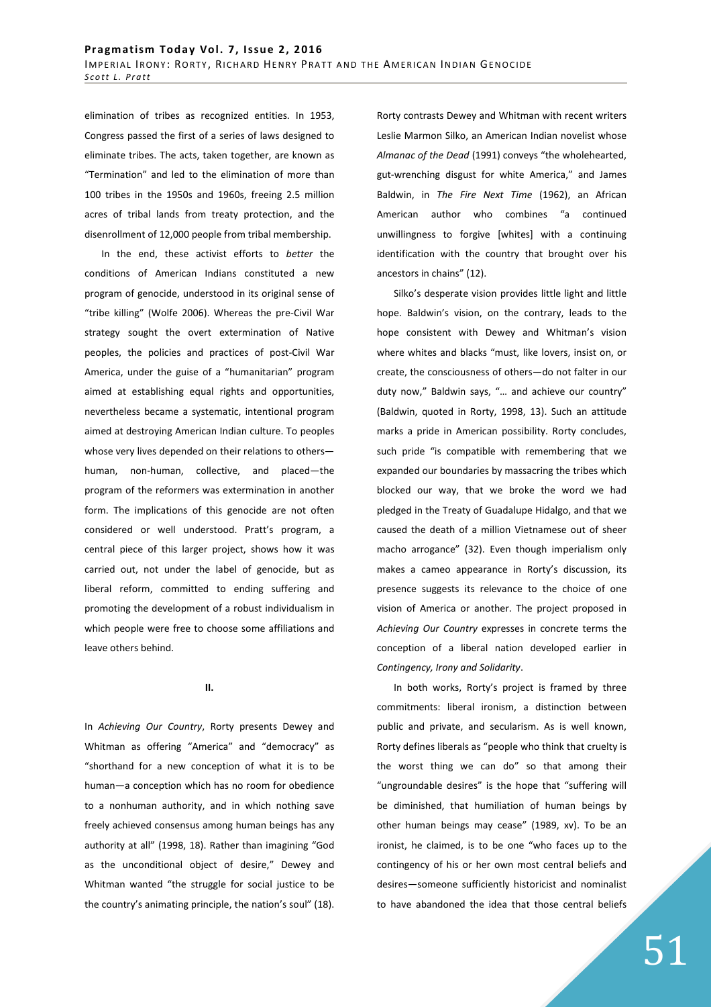elimination of tribes as recognized entities. In 1953, Congress passed the first of a series of laws designed to eliminate tribes. The acts, taken together, are known as "Termination" and led to the elimination of more than 100 tribes in the 1950s and 1960s, freeing 2.5 million acres of tribal lands from treaty protection, and the disenrollment of 12,000 people from tribal membership.

In the end, these activist efforts to *better* the conditions of American Indians constituted a new program of genocide, understood in its original sense of "tribe killing" (Wolfe 2006). Whereas the pre-Civil War strategy sought the overt extermination of Native peoples, the policies and practices of post-Civil War America, under the guise of a "humanitarian" program aimed at establishing equal rights and opportunities, nevertheless became a systematic, intentional program aimed at destroying American Indian culture. To peoples whose very lives depended on their relations to others human, non-human, collective, and placed—the program of the reformers was extermination in another form. The implications of this genocide are not often considered or well understood. Pratt's program, a central piece of this larger project, shows how it was carried out, not under the label of genocide, but as liberal reform, committed to ending suffering and promoting the development of a robust individualism in which people were free to choose some affiliations and leave others behind.

**II.** 

In *Achieving Our Country*, Rorty presents Dewey and Whitman as offering "America" and "democracy" as "shorthand for a new conception of what it is to be human—a conception which has no room for obedience to a nonhuman authority, and in which nothing save freely achieved consensus among human beings has any authority at all" (1998, 18). Rather than imagining "God as the unconditional object of desire," Dewey and Whitman wanted "the struggle for social justice to be the country's animating principle, the nation's soul" (18).

Rorty contrasts Dewey and Whitman with recent writers Leslie Marmon Silko, an American Indian novelist whose *Almanac of the Dead* (1991) conveys "the wholehearted, gut-wrenching disgust for white America," and James Baldwin, in *The Fire Next Time* (1962), an African American author who combines "a continued unwillingness to forgive [whites] with a continuing identification with the country that brought over his ancestors in chains" (12).

Silko's desperate vision provides little light and little hope. Baldwin's vision, on the contrary, leads to the hope consistent with Dewey and Whitman's vision where whites and blacks "must, like lovers, insist on, or create, the consciousness of others—do not falter in our duty now," Baldwin says, "… and achieve our country" (Baldwin, quoted in Rorty, 1998, 13). Such an attitude marks a pride in American possibility. Rorty concludes, such pride "is compatible with remembering that we expanded our boundaries by massacring the tribes which blocked our way, that we broke the word we had pledged in the Treaty of Guadalupe Hidalgo, and that we caused the death of a million Vietnamese out of sheer macho arrogance" (32). Even though imperialism only makes a cameo appearance in Rorty's discussion, its presence suggests its relevance to the choice of one vision of America or another. The project proposed in *Achieving Our Country* expresses in concrete terms the conception of a liberal nation developed earlier in *Contingency, Irony and Solidarity*.

In both works, Rorty's project is framed by three commitments: liberal ironism, a distinction between public and private, and secularism. As is well known, Rorty defines liberals as "people who think that cruelty is the worst thing we can do" so that among their "ungroundable desires" is the hope that "suffering will be diminished, that humiliation of human beings by other human beings may cease" (1989, xv). To be an ironist, he claimed, is to be one "who faces up to the contingency of his or her own most central beliefs and desires—someone sufficiently historicist and nominalist to have abandoned the idea that those central beliefs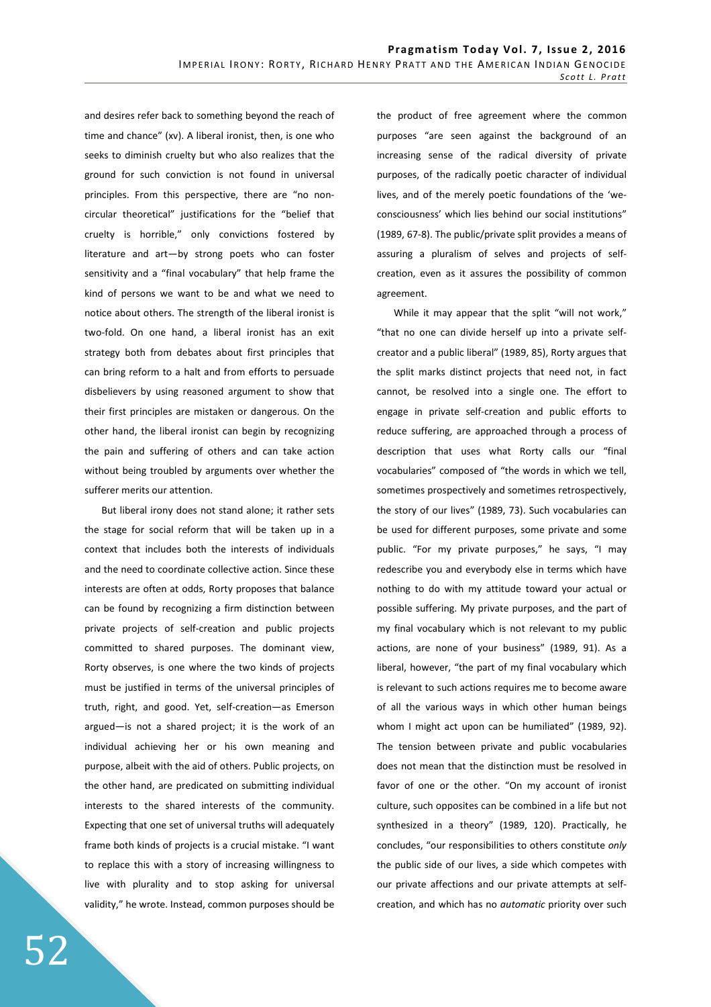and desires refer back to something beyond the reach of time and chance" (xv). A liberal ironist, then, is one who seeks to diminish cruelty but who also realizes that the ground for such conviction is not found in universal principles. From this perspective, there are "no noncircular theoretical" justifications for the "belief that cruelty is horrible," only convictions fostered by literature and art—by strong poets who can foster sensitivity and a "final vocabulary" that help frame the kind of persons we want to be and what we need to notice about others. The strength of the liberal ironist is two-fold. On one hand, a liberal ironist has an exit strategy both from debates about first principles that can bring reform to a halt and from efforts to persuade disbelievers by using reasoned argument to show that their first principles are mistaken or dangerous. On the other hand, the liberal ironist can begin by recognizing the pain and suffering of others and can take action without being troubled by arguments over whether the sufferer merits our attention.

But liberal irony does not stand alone; it rather sets the stage for social reform that will be taken up in a context that includes both the interests of individuals and the need to coordinate collective action. Since these interests are often at odds, Rorty proposes that balance can be found by recognizing a firm distinction between private projects of self-creation and public projects committed to shared purposes. The dominant view, Rorty observes, is one where the two kinds of projects must be justified in terms of the universal principles of truth, right, and good. Yet, self-creation—as Emerson argued—is not a shared project; it is the work of an individual achieving her or his own meaning and purpose, albeit with the aid of others. Public projects, on the other hand, are predicated on submitting individual interests to the shared interests of the community. Expecting that one set of universal truths will adequately frame both kinds of projects is a crucial mistake. "I want to replace this with a story of increasing willingness to live with plurality and to stop asking for universal validity," he wrote. Instead, common purposes should be the product of free agreement where the common purposes "are seen against the background of an increasing sense of the radical diversity of private purposes, of the radically poetic character of individual lives, and of the merely poetic foundations of the 'weconsciousness' which lies behind our social institutions" (1989, 67-8). The public/private split provides a means of assuring a pluralism of selves and projects of selfcreation, even as it assures the possibility of common agreement.

While it may appear that the split "will not work," "that no one can divide herself up into a private selfcreator and a public liberal" (1989, 85), Rorty argues that the split marks distinct projects that need not, in fact cannot, be resolved into a single one. The effort to engage in private self-creation and public efforts to reduce suffering, are approached through a process of description that uses what Rorty calls our "final vocabularies" composed of "the words in which we tell, sometimes prospectively and sometimes retrospectively, the story of our lives" (1989, 73). Such vocabularies can be used for different purposes, some private and some public. "For my private purposes," he says, "I may redescribe you and everybody else in terms which have nothing to do with my attitude toward your actual or possible suffering. My private purposes, and the part of my final vocabulary which is not relevant to my public actions, are none of your business" (1989, 91). As a liberal, however, "the part of my final vocabulary which is relevant to such actions requires me to become aware of all the various ways in which other human beings whom I might act upon can be humiliated" (1989, 92). The tension between private and public vocabularies does not mean that the distinction must be resolved in favor of one or the other. "On my account of ironist culture, such opposites can be combined in a life but not synthesized in a theory" (1989, 120). Practically, he concludes, "our responsibilities to others constitute *only* the public side of our lives, a side which competes with our private affections and our private attempts at selfcreation, and which has no *automatic* priority over such

52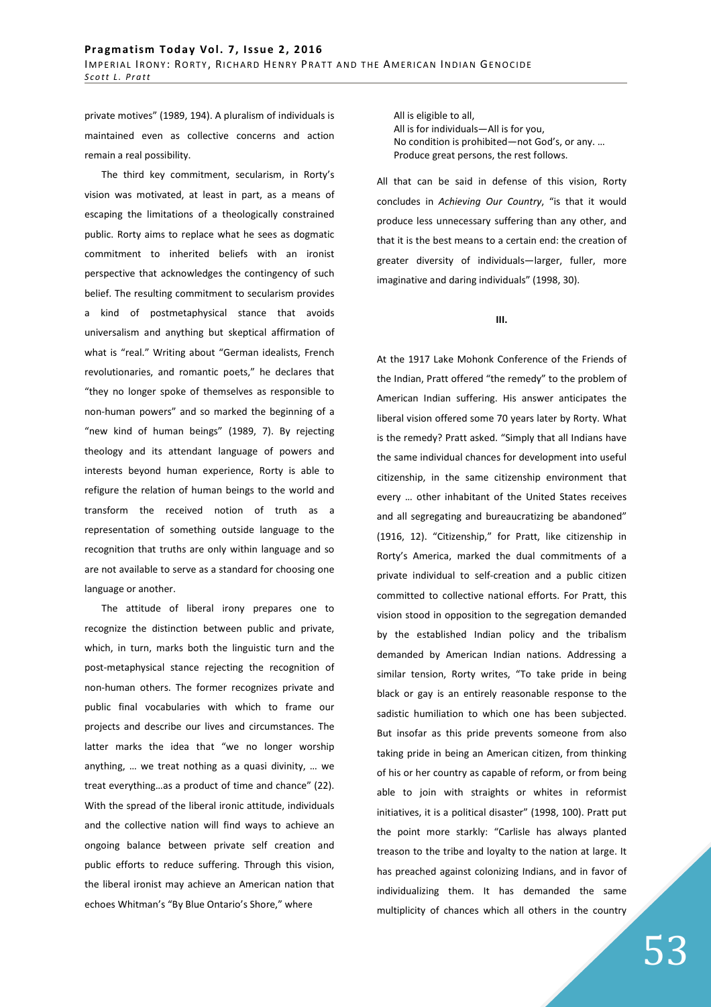private motives" (1989, 194). A pluralism of individuals is maintained even as collective concerns and action remain a real possibility.

The third key commitment, secularism, in Rorty's vision was motivated, at least in part, as a means of escaping the limitations of a theologically constrained public. Rorty aims to replace what he sees as dogmatic commitment to inherited beliefs with an ironist perspective that acknowledges the contingency of such belief. The resulting commitment to secularism provides a kind of postmetaphysical stance that avoids universalism and anything but skeptical affirmation of what is "real." Writing about "German idealists, French revolutionaries, and romantic poets," he declares that "they no longer spoke of themselves as responsible to non-human powers" and so marked the beginning of a "new kind of human beings" (1989, 7). By rejecting theology and its attendant language of powers and interests beyond human experience, Rorty is able to refigure the relation of human beings to the world and transform the received notion of truth as a representation of something outside language to the recognition that truths are only within language and so are not available to serve as a standard for choosing one language or another.

The attitude of liberal irony prepares one to recognize the distinction between public and private, which, in turn, marks both the linguistic turn and the post-metaphysical stance rejecting the recognition of non-human others. The former recognizes private and public final vocabularies with which to frame our projects and describe our lives and circumstances. The latter marks the idea that "we no longer worship anything, … we treat nothing as a quasi divinity, … we treat everything…as a product of time and chance" (22). With the spread of the liberal ironic attitude, individuals and the collective nation will find ways to achieve an ongoing balance between private self creation and public efforts to reduce suffering. Through this vision, the liberal ironist may achieve an American nation that echoes Whitman's "By Blue Ontario's Shore," where

All is eligible to all, All is for individuals—All is for you, No condition is prohibited—not God's, or any. … Produce great persons, the rest follows.

All that can be said in defense of this vision, Rorty concludes in *Achieving Our Country*, "is that it would produce less unnecessary suffering than any other, and that it is the best means to a certain end: the creation of greater diversity of individuals—larger, fuller, more imaginative and daring individuals" (1998, 30).

**III.** 

At the 1917 Lake Mohonk Conference of the Friends of the Indian, Pratt offered "the remedy" to the problem of American Indian suffering. His answer anticipates the liberal vision offered some 70 years later by Rorty. What is the remedy? Pratt asked. "Simply that all Indians have the same individual chances for development into useful citizenship, in the same citizenship environment that every … other inhabitant of the United States receives and all segregating and bureaucratizing be abandoned" (1916, 12). "Citizenship," for Pratt, like citizenship in Rorty's America, marked the dual commitments of a private individual to self-creation and a public citizen committed to collective national efforts. For Pratt, this vision stood in opposition to the segregation demanded by the established Indian policy and the tribalism demanded by American Indian nations. Addressing a similar tension, Rorty writes, "To take pride in being black or gay is an entirely reasonable response to the sadistic humiliation to which one has been subjected. But insofar as this pride prevents someone from also taking pride in being an American citizen, from thinking of his or her country as capable of reform, or from being able to join with straights or whites in reformist initiatives, it is a political disaster" (1998, 100). Pratt put the point more starkly: "Carlisle has always planted treason to the tribe and loyalty to the nation at large. It has preached against colonizing Indians, and in favor of individualizing them. It has demanded the same multiplicity of chances which all others in the country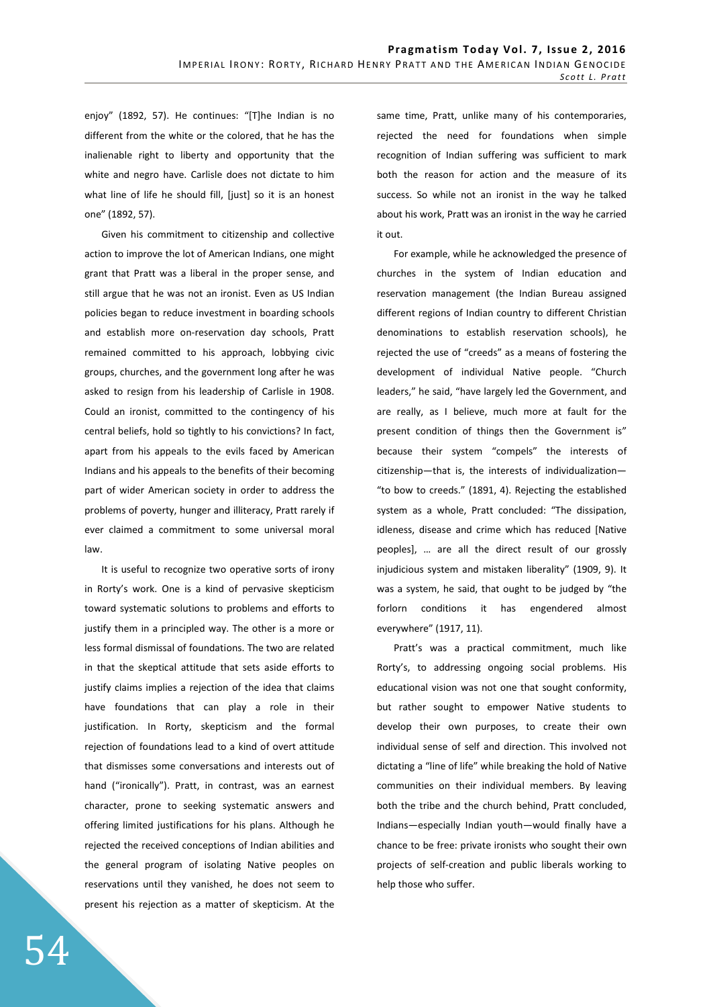enjoy" (1892, 57). He continues: "[T]he Indian is no different from the white or the colored, that he has the inalienable right to liberty and opportunity that the white and negro have. Carlisle does not dictate to him what line of life he should fill, [just] so it is an honest one" (1892, 57).

Given his commitment to citizenship and collective action to improve the lot of American Indians, one might grant that Pratt was a liberal in the proper sense, and still argue that he was not an ironist. Even as US Indian policies began to reduce investment in boarding schools and establish more on-reservation day schools, Pratt remained committed to his approach, lobbying civic groups, churches, and the government long after he was asked to resign from his leadership of Carlisle in 1908. Could an ironist, committed to the contingency of his central beliefs, hold so tightly to his convictions? In fact, apart from his appeals to the evils faced by American Indians and his appeals to the benefits of their becoming part of wider American society in order to address the problems of poverty, hunger and illiteracy, Pratt rarely if ever claimed a commitment to some universal moral law.

It is useful to recognize two operative sorts of irony in Rorty's work. One is a kind of pervasive skepticism toward systematic solutions to problems and efforts to justify them in a principled way. The other is a more or less formal dismissal of foundations. The two are related in that the skeptical attitude that sets aside efforts to justify claims implies a rejection of the idea that claims have foundations that can play a role in their justification. In Rorty, skepticism and the formal rejection of foundations lead to a kind of overt attitude that dismisses some conversations and interests out of hand ("ironically"). Pratt, in contrast, was an earnest character, prone to seeking systematic answers and offering limited justifications for his plans. Although he rejected the received conceptions of Indian abilities and the general program of isolating Native peoples on reservations until they vanished, he does not seem to present his rejection as a matter of skepticism. At the same time, Pratt, unlike many of his contemporaries, rejected the need for foundations when simple recognition of Indian suffering was sufficient to mark both the reason for action and the measure of its success. So while not an ironist in the way he talked about his work, Pratt was an ironist in the way he carried it out.

For example, while he acknowledged the presence of churches in the system of Indian education and reservation management (the Indian Bureau assigned different regions of Indian country to different Christian denominations to establish reservation schools), he rejected the use of "creeds" as a means of fostering the development of individual Native people. "Church leaders," he said, "have largely led the Government, and are really, as I believe, much more at fault for the present condition of things then the Government is" because their system "compels" the interests of citizenship—that is, the interests of individualization— "to bow to creeds." (1891, 4). Rejecting the established system as a whole, Pratt concluded: "The dissipation, idleness, disease and crime which has reduced [Native peoples], … are all the direct result of our grossly injudicious system and mistaken liberality" (1909, 9). It was a system, he said, that ought to be judged by "the forlorn conditions it has engendered almost everywhere" (1917, 11).

Pratt's was a practical commitment, much like Rorty's, to addressing ongoing social problems. His educational vision was not one that sought conformity, but rather sought to empower Native students to develop their own purposes, to create their own individual sense of self and direction. This involved not dictating a "line of life" while breaking the hold of Native communities on their individual members. By leaving both the tribe and the church behind, Pratt concluded, Indians—especially Indian youth—would finally have a chance to be free: private ironists who sought their own projects of self-creation and public liberals working to help those who suffer.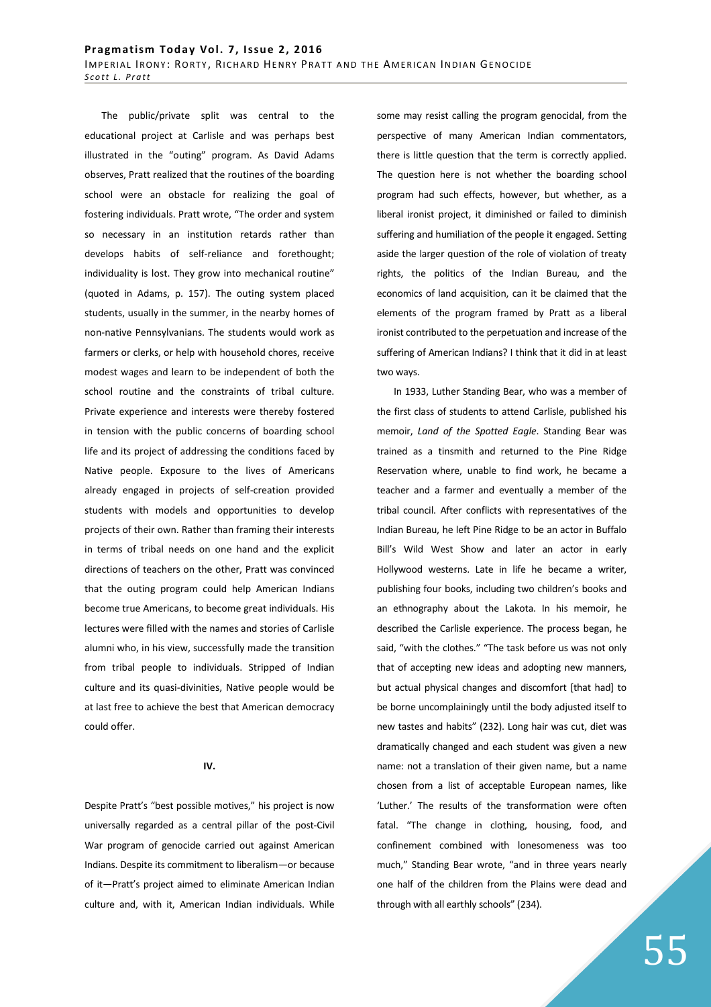The public/private split was central to the educational project at Carlisle and was perhaps best illustrated in the "outing" program. As David Adams observes, Pratt realized that the routines of the boarding school were an obstacle for realizing the goal of fostering individuals. Pratt wrote, "The order and system so necessary in an institution retards rather than develops habits of self-reliance and forethought; individuality is lost. They grow into mechanical routine" (quoted in Adams, p. 157). The outing system placed students, usually in the summer, in the nearby homes of non-native Pennsylvanians. The students would work as farmers or clerks, or help with household chores, receive modest wages and learn to be independent of both the school routine and the constraints of tribal culture. Private experience and interests were thereby fostered in tension with the public concerns of boarding school life and its project of addressing the conditions faced by Native people. Exposure to the lives of Americans already engaged in projects of self-creation provided students with models and opportunities to develop projects of their own. Rather than framing their interests in terms of tribal needs on one hand and the explicit directions of teachers on the other, Pratt was convinced that the outing program could help American Indians become true Americans, to become great individuals. His lectures were filled with the names and stories of Carlisle alumni who, in his view, successfully made the transition from tribal people to individuals. Stripped of Indian culture and its quasi-divinities, Native people would be at last free to achieve the best that American democracy could offer.

## **IV.**

Despite Pratt's "best possible motives," his project is now universally regarded as a central pillar of the post-Civil War program of genocide carried out against American Indians. Despite its commitment to liberalism—or because of it—Pratt's project aimed to eliminate American Indian culture and, with it, American Indian individuals. While some may resist calling the program genocidal, from the perspective of many American Indian commentators, there is little question that the term is correctly applied. The question here is not whether the boarding school program had such effects, however, but whether, as a liberal ironist project, it diminished or failed to diminish suffering and humiliation of the people it engaged. Setting aside the larger question of the role of violation of treaty rights, the politics of the Indian Bureau, and the economics of land acquisition, can it be claimed that the elements of the program framed by Pratt as a liberal ironist contributed to the perpetuation and increase of the suffering of American Indians? I think that it did in at least two ways.

In 1933, Luther Standing Bear, who was a member of the first class of students to attend Carlisle, published his memoir, *Land of the Spotted Eagle*. Standing Bear was trained as a tinsmith and returned to the Pine Ridge Reservation where, unable to find work, he became a teacher and a farmer and eventually a member of the tribal council. After conflicts with representatives of the Indian Bureau, he left Pine Ridge to be an actor in Buffalo Bill's Wild West Show and later an actor in early Hollywood westerns. Late in life he became a writer, publishing four books, including two children's books and an ethnography about the Lakota. In his memoir, he described the Carlisle experience. The process began, he said, "with the clothes." "The task before us was not only that of accepting new ideas and adopting new manners, but actual physical changes and discomfort [that had] to be borne uncomplainingly until the body adjusted itself to new tastes and habits" (232). Long hair was cut, diet was dramatically changed and each student was given a new name: not a translation of their given name, but a name chosen from a list of acceptable European names, like 'Luther.' The results of the transformation were often fatal. "The change in clothing, housing, food, and confinement combined with lonesomeness was too much," Standing Bear wrote, "and in three years nearly one half of the children from the Plains were dead and through with all earthly schools" (234).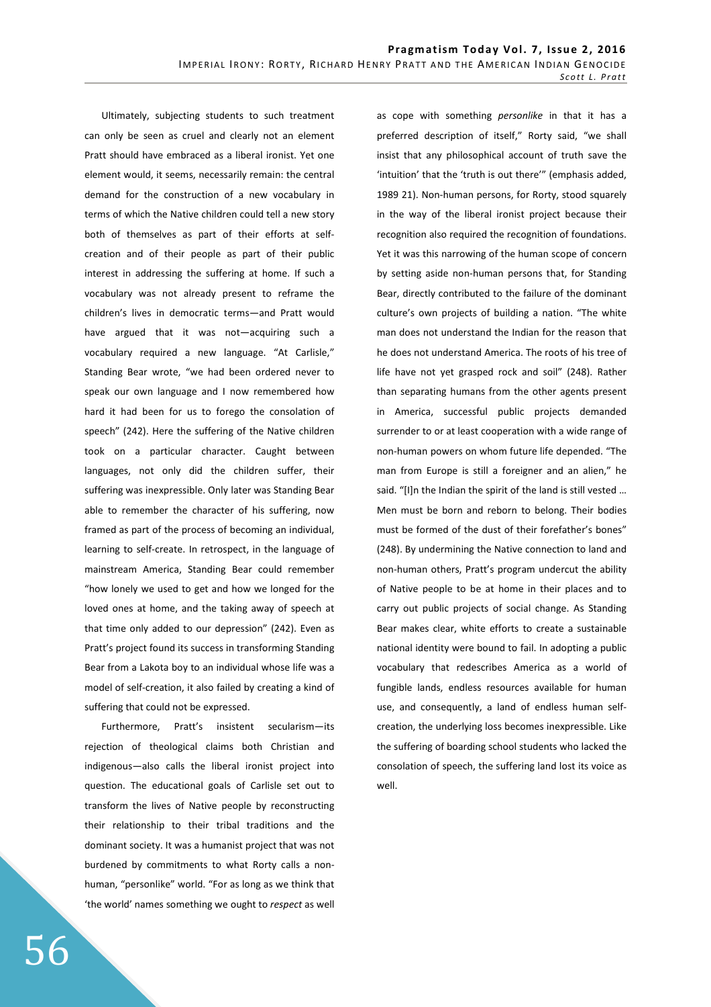Ultimately, subjecting students to such treatment can only be seen as cruel and clearly not an element Pratt should have embraced as a liberal ironist. Yet one element would, it seems, necessarily remain: the central demand for the construction of a new vocabulary in terms of which the Native children could tell a new story both of themselves as part of their efforts at selfcreation and of their people as part of their public interest in addressing the suffering at home. If such a vocabulary was not already present to reframe the children's lives in democratic terms—and Pratt would have argued that it was not—acquiring such a vocabulary required a new language. "At Carlisle," Standing Bear wrote, "we had been ordered never to speak our own language and I now remembered how hard it had been for us to forego the consolation of speech" (242). Here the suffering of the Native children took on a particular character. Caught between languages, not only did the children suffer, their suffering was inexpressible. Only later was Standing Bear able to remember the character of his suffering, now framed as part of the process of becoming an individual, learning to self-create. In retrospect, in the language of mainstream America, Standing Bear could remember "how lonely we used to get and how we longed for the loved ones at home, and the taking away of speech at that time only added to our depression" (242). Even as Pratt's project found its success in transforming Standing Bear from a Lakota boy to an individual whose life was a model of self-creation, it also failed by creating a kind of suffering that could not be expressed.

Furthermore, Pratt's insistent secularism—its rejection of theological claims both Christian and indigenous—also calls the liberal ironist project into question. The educational goals of Carlisle set out to transform the lives of Native people by reconstructing their relationship to their tribal traditions and the dominant society. It was a humanist project that was not burdened by commitments to what Rorty calls a nonhuman, "personlike" world. "For as long as we think that 'the world' names something we ought to *respect* as well as cope with something *personlike* in that it has a preferred description of itself," Rorty said, "we shall insist that any philosophical account of truth save the 'intuition' that the 'truth is out there'" (emphasis added, 1989 21). Non-human persons, for Rorty, stood squarely in the way of the liberal ironist project because their recognition also required the recognition of foundations. Yet it was this narrowing of the human scope of concern by setting aside non-human persons that, for Standing Bear, directly contributed to the failure of the dominant culture's own projects of building a nation. "The white man does not understand the Indian for the reason that he does not understand America. The roots of his tree of life have not yet grasped rock and soil" (248). Rather than separating humans from the other agents present in America, successful public projects demanded surrender to or at least cooperation with a wide range of non-human powers on whom future life depended. "The man from Europe is still a foreigner and an alien," he said. "[I]n the Indian the spirit of the land is still vested … Men must be born and reborn to belong. Their bodies must be formed of the dust of their forefather's bones" (248). By undermining the Native connection to land and non-human others, Pratt's program undercut the ability of Native people to be at home in their places and to carry out public projects of social change. As Standing Bear makes clear, white efforts to create a sustainable national identity were bound to fail. In adopting a public vocabulary that redescribes America as a world of fungible lands, endless resources available for human use, and consequently, a land of endless human selfcreation, the underlying loss becomes inexpressible. Like the suffering of boarding school students who lacked the consolation of speech, the suffering land lost its voice as well.

56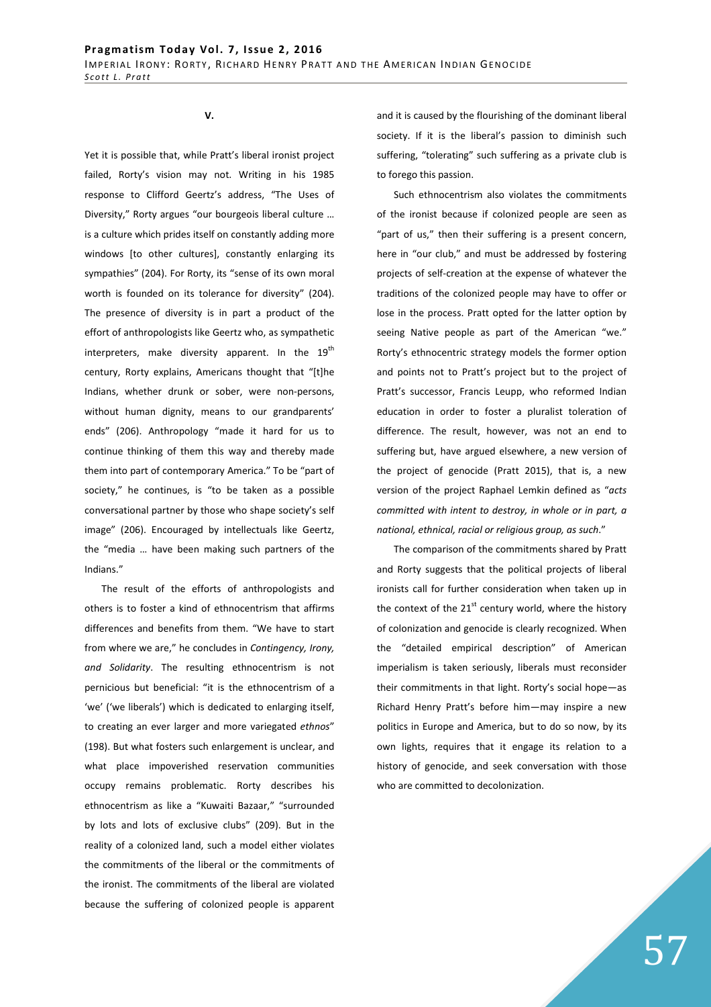**V.** 

Yet it is possible that, while Pratt's liberal ironist project failed, Rorty's vision may not. Writing in his 1985 response to Clifford Geertz's address, "The Uses of Diversity," Rorty argues "our bourgeois liberal culture … is a culture which prides itself on constantly adding more windows [to other cultures], constantly enlarging its sympathies" (204). For Rorty, its "sense of its own moral worth is founded on its tolerance for diversity" (204). The presence of diversity is in part a product of the effort of anthropologists like Geertz who, as sympathetic interpreters, make diversity apparent. In the  $19^{th}$ century, Rorty explains, Americans thought that "[t]he Indians, whether drunk or sober, were non-persons, without human dignity, means to our grandparents' ends" (206). Anthropology "made it hard for us to continue thinking of them this way and thereby made them into part of contemporary America." To be "part of society," he continues, is "to be taken as a possible conversational partner by those who shape society's self image" (206). Encouraged by intellectuals like Geertz, the "media … have been making such partners of the Indians."

The result of the efforts of anthropologists and others is to foster a kind of ethnocentrism that affirms differences and benefits from them. "We have to start from where we are," he concludes in *Contingency, Irony, and Solidarity*. The resulting ethnocentrism is not pernicious but beneficial: "it is the ethnocentrism of a 'we' ('we liberals') which is dedicated to enlarging itself, to creating an ever larger and more variegated *ethnos*" (198). But what fosters such enlargement is unclear, and what place impoverished reservation communities occupy remains problematic. Rorty describes his ethnocentrism as like a "Kuwaiti Bazaar," "surrounded by lots and lots of exclusive clubs" (209). But in the reality of a colonized land, such a model either violates the commitments of the liberal or the commitments of the ironist. The commitments of the liberal are violated because the suffering of colonized people is apparent

and it is caused by the flourishing of the dominant liberal society. If it is the liberal's passion to diminish such suffering, "tolerating" such suffering as a private club is to forego this passion.

Such ethnocentrism also violates the commitments of the ironist because if colonized people are seen as "part of us," then their suffering is a present concern, here in "our club," and must be addressed by fostering projects of self-creation at the expense of whatever the traditions of the colonized people may have to offer or lose in the process. Pratt opted for the latter option by seeing Native people as part of the American "we." Rorty's ethnocentric strategy models the former option and points not to Pratt's project but to the project of Pratt's successor, Francis Leupp, who reformed Indian education in order to foster a pluralist toleration of difference. The result, however, was not an end to suffering but, have argued elsewhere, a new version of the project of genocide (Pratt 2015), that is, a new version of the project Raphael Lemkin defined as "*acts committed with intent to destroy, in whole or in part, a national, ethnical, racial or religious group, as such*."

The comparison of the commitments shared by Pratt and Rorty suggests that the political projects of liberal ironists call for further consideration when taken up in the context of the  $21<sup>st</sup>$  century world, where the history of colonization and genocide is clearly recognized. When the "detailed empirical description" of American imperialism is taken seriously, liberals must reconsider their commitments in that light. Rorty's social hope—as Richard Henry Pratt's before him—may inspire a new politics in Europe and America, but to do so now, by its own lights, requires that it engage its relation to a history of genocide, and seek conversation with those who are committed to decolonization.